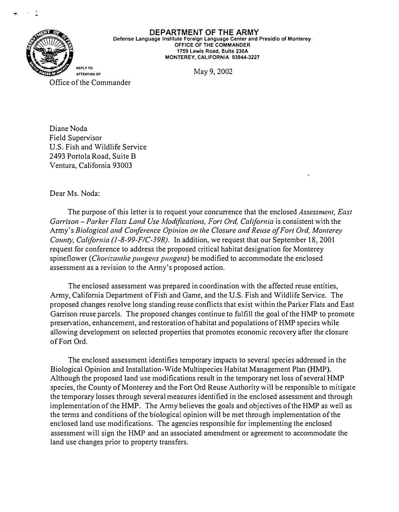

**DEPARTMENT OF THE ARMY Defense Language Institute Foreign Language Center and Presidio of Monterey· OFFICE OF THE COMMANDER 1759 Lewis Road, Suite 230A MONTEREY, CALIFORNIA 93944-3227** 

May 9, 2002

Office of the Commander

Diane Noda Field Supervisor U.S. Fish and Wildlife Service 2493 Portola Road, Suite B Ventura, California 93003

## Dear Ms. Noda:

The purpose of this letter is to request your concurrence that the enclosed *Assessment, East*  Garrison – Parker Flats Land Use Modifications, Fort Ord, California is consistent with the Army's *Biological and Conference Opinion on the Closure and Reuse of Fort Ord, Monterey County, California (l-8-99-FIC-39R).* In addition, we request that our September 18, 2001 request for conference to address the proposed critical habitat designation for Monterey spineflower *(Chorizanthe pungens pungens)* be modified to accommodate the enclosed assessment as a revision to the Army's proposed action.

The enclosed assessment was prepared in coordination with the affected reuse entities, Army, California Department of Fish and Game, and the U.S. Fish and Wildlife Service. The proposed changes resolve long standing reuse conflicts that exist within the Parker Flats and East Garrison reuse parcels. The proposed changes continue to fulfill the goal of the HMP to promote preservation, enhancement, and restoration of habitat and populations of HMP species while allowing development on selected properties that promotes economic recovery after the closure of Fort Ord.

The enclosed assessment identifies temporary impacts to several species addressed in the Biological Opinion and Installation-Wide Multispecies Habitat Management Plan (HMP). Although the proposed land use modifications result in the temporary net loss of several HMP species, the County of Monterey and the Fort Ord Reuse Authority will be responsible to mitigate the temporary losses through several measures identified in the enclosed assessment and through implementation of the HMP. The Army believes the goals and objectives of the HMP as well as the terms and conditions of the biological opinion will be met through implementation of the enclosed land use modifications. The agencies responsible for implementing the enclosed assessment will sign the HMP and an associated amendment or agreement to accommodate the land use changes prior to property transfers.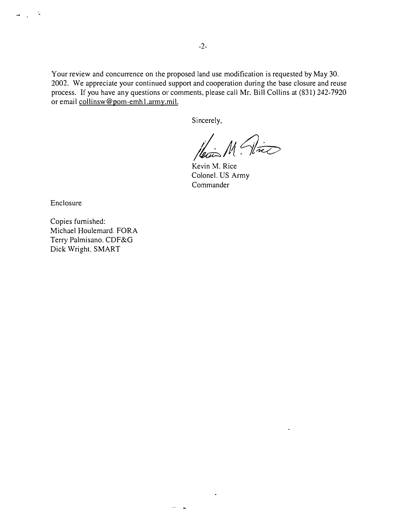Your review and concurrence on the proposed land use modification is requested by May 30. 2002. We appreciate your continued support and cooperation during the base closure and reuse process. If you have any questions or comments, please call Mr. Bill Collins at (831) 242-7920 or email collinsw@pom-emhl.army.mil.

Sincerely,

*<i>M* (Vice)

Kevin M. Rice Colonel. US Army **Commander** 

Enclosure

 $\omega_{\rm{max}}=2$ 

Copies furnished: Michael Houlemard. FORA Terry Palmisano. CDF&G Dick Wright. SMART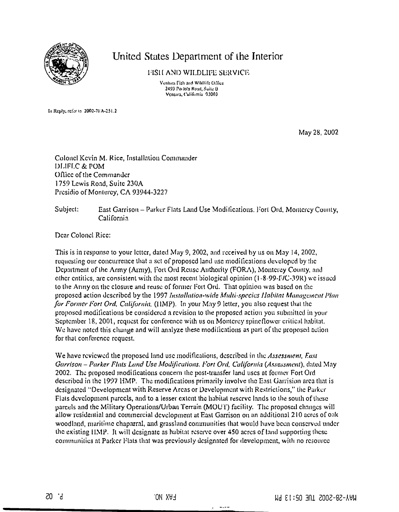

## United States Department of the Interior

FISH AND WILDLIFE SERVICE

Ventura Fish and Wildlife Office 2493 Portola Road, Suite B Ventura, California 93003

In Reply, refer to 2002-7FA-251.2

May 28, 2002

Colonel Kevin M. Rice, Installation Commander DLIFLC & POM Office of the Commander 1759 Lewis Road, Suite 230A Presidio of Monterey, CA 93944-3227

Subject: East Garrison - Parker Flats Land Use Modifications, Fort Ord, Montercy County, California

Dear Colonel Rice:

This is in response to your letter, dated May 9, 2002, and received by us on May 14, 2002, requesting our concurrence that a set of proposed land use modifications developed by the Department of the Army (Army), Fort Ord Reuse Authority (FORA), Monterey County, and other entities, are consistent with the most recent biological opinion (1-8-99-F/C-39R) we issued to the Army on the closure and reuse of former Fort Ord. That opinion was based on the proposed action described by the 1997 Installation-wide Multi-species Habitat Management Plan for Former Fort Ord, California, (HMP). In your May 9 letter, you also request that the proposed modifications be considered a revision to the proposed action you submitted in your September 18, 2001, request for conference with us on Monterey spineflower critical habitat. We have noted this change and will analyze these modifications as part of the proposed action for that conference request.

We have reviewed the proposed land use modifications, described in the Assessment, East Garrison - Parker Flats Land Use Modifications, Fort Ord, California (Assessment), dated May 2002. The proposed modifications concern the post-transfer land uses at former Fort Ord described in the 1997 HMP. The modifications primarily involve the East Garrision area that is designated "Development with Reserve Arcas or Development with Restrictions," the Parker Flats development parcels, and to a lesser extent the habitat reserve lands to the south of these parcels and the Military Operations/Urban Terrain (MOUT) facility. The proposed changes will allow residential and commercial development at East Garrison on an additional 210 acres of oak woodland, maritime chaparral, and grassland communities that would have been conserved under the existing HMP. It will designate as habitat reserve over 450 acres of land supporting these communities at Parker Flats that was previously designated for development, with no resource

 $-$